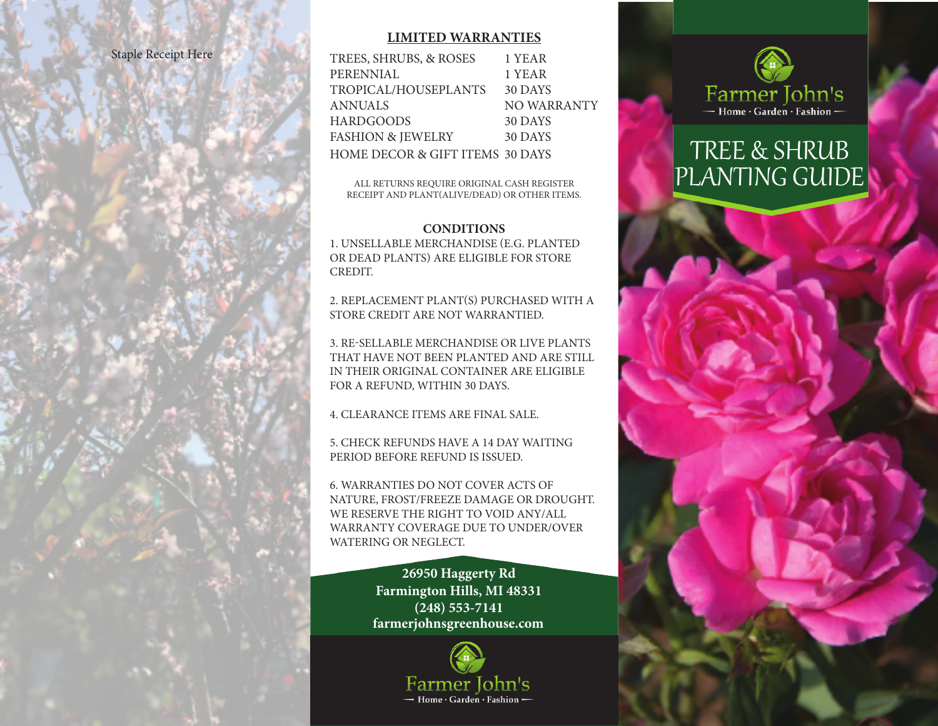#### Staple Receipt Here

#### **LIMITED WARRANTIES**

| TREES, SHRUBS, & ROSES                     | 1 YEAR      |
|--------------------------------------------|-------------|
| PERENNIAL                                  | 1 YEAR      |
| TROPICAL/HOUSEPLANTS                       | 30 DAYS     |
| ANNUALS                                    | NO WARRANTY |
| HARDGOODS                                  | 30 DAYS     |
| <b>FASHION &amp; JEWELRY</b>               | 30 DAYS     |
| <b>HOME DECOR &amp; GIFT ITEMS 30 DAYS</b> |             |
|                                            |             |

ALL RETURNS REQUIRE ORIGINAL CASH REGISTER RECEIPT AND PLANT(ALIVE/DEAD) OR OTHER ITEMS.

#### **CONDITIONS**

1. UNSELLABLE MERCHANDISE (E.G. PLANTED OR DEAD PLANTS) ARE ELIGIBLE FOR STORE CREDIT.

2. REPLACEMENT PLANT(S) PURCHASED WITH A STORE CREDIT ARE NOT WARRANTIED.

3. RE-SELLABLE MERCHANDISE OR LIVE PLANTS THAT HAVE NOT BEEN PLANTED AND ARE STILL IN THEIR ORIGINAL CONTAINER ARE ELIGIBLE FOR A REFUND, WITHIN 30 DAYS.

4. CLEARANCE ITEMS ARE FINAL SALE.

5. CHECK REFUNDS HAVE A 14 DAY WAITING PERIOD BEFORE REFUND IS ISSUED.

6. WARRANTIES DO NOT COVER ACTS OF NATURE, FROST/FREEZE DAMAGE OR DROUGHT. WE RESERVE THE RIGHT TO VOID ANY/ALL WARRANTY COVERAGE DUE TO UNDER/OVER WATERING OR NEGLECT.

> **farmerjohnsgreenhouse.com 26950 Haggerty Rd Farmington Hills, MI 48331 (248) 553-7141**





# TREE & SHRUB PLANTING GUIDE